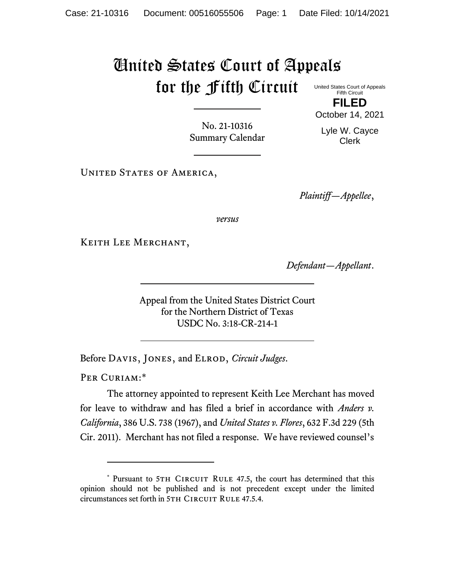## United States Court of Appeals for the Fifth Circuit United States Court of Appeals

Fifth Circuit **FILED**

October 14, 2021

No. 21-10316 Summary Calendar

Lyle W. Cayce Clerk

UNITED STATES OF AMERICA,

*Plaintiff—Appellee*,

*versus*

Keith Lee Merchant,

*Defendant—Appellant*.

Appeal from the United States District Court for the Northern District of Texas USDC No. 3:18-CR-214-1

Before Davis, Jones, and Elrod, *Circuit Judges*.

PER CURIAM:\*

The attorney appointed to represent Keith Lee Merchant has moved for leave to withdraw and has filed a brief in accordance with *Anders v. California*, 386 U.S. 738 (1967), and *United States v. Flores*, 632 F.3d 229 (5th Cir. 2011). Merchant has not filed a response. We have reviewed counsel's

<sup>\*</sup> Pursuant to 5TH CIRCUIT RULE 47.5, the court has determined that this opinion should not be published and is not precedent except under the limited circumstances set forth in 5TH CIRCUIT RULE 47.5.4.